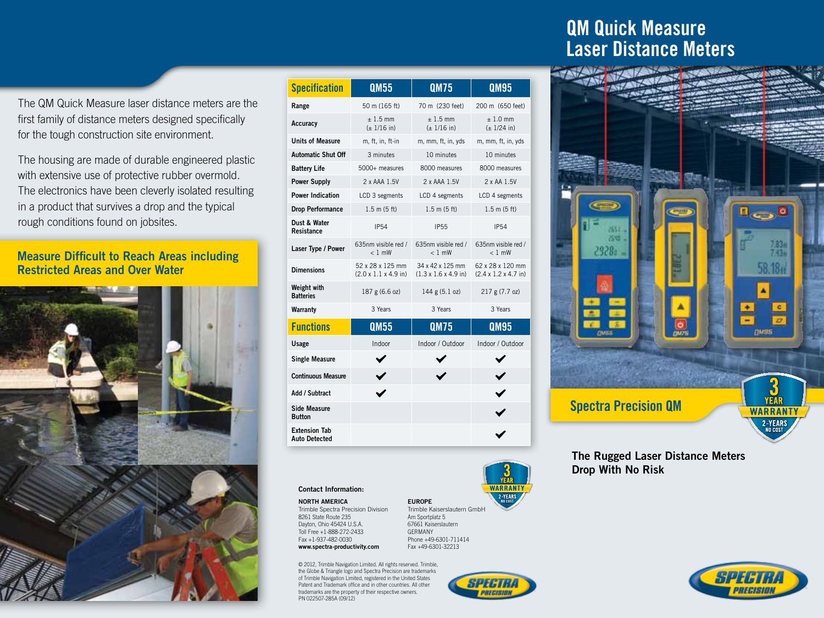The QM Quick Measure laser distance meters are the first family of distance meters designed specifically for the tough construction site environment.

The housing are made of durable engineered plastic with extensive use of protective rubber overmold. The electronics have been cleverly isolated resulting in a product that survives a drop and the typical rough conditions found on jobsites.

### Measure Difficult to Reach Areas including Restricted Areas and Over Water



| <b>Specification</b>                         | QM55                                                 | <b>QM75</b>                                           | QM95                                                  |
|----------------------------------------------|------------------------------------------------------|-------------------------------------------------------|-------------------------------------------------------|
| Range                                        | 50 m (165 ft)                                        | 70 m (230 feet)                                       | 200 m (650 feet)                                      |
| Accuracy                                     | $± 1.5$ mm<br>$(\pm 1/16)$ in)                       | $± 1.5$ mm<br>$(\pm 1/16)$ in)                        | $± 1.0$ mm<br>$(\pm 1/24)$ in)                        |
| <b>Units of Measure</b>                      | m, ft, in, ft-in                                     | m, mm, ft, in, yds                                    | m, mm, ft, in, yds                                    |
| <b>Automatic Shut Off</b>                    | 3 minutes                                            | 10 minutes                                            | 10 minutes                                            |
| <b>Battery Life</b>                          | 5000+ measures                                       | 8000 measures                                         | 8000 measures                                         |
| <b>Power Supply</b>                          | 2 x AAA 1.5V                                         | 2 x AAA 1.5V                                          | 2 x AA 1.5V                                           |
| <b>Power Indication</b>                      | LCD 3 segments                                       | LCD 4 segments                                        | LCD 4 segments                                        |
| <b>Drop Performance</b>                      | 1.5 m (5 ft)                                         | 1.5 m (5 ft)                                          | $1.5 \text{ m}$ (5 ft)                                |
| Dust & Water<br>Resistance                   | <b>IP54</b>                                          | <b>IP55</b>                                           | <b>IP54</b>                                           |
| Laser Type / Power                           | 635nm visible red /<br>$< 1$ mW                      | 635nm visible red /<br>$< 1$ mW                       | 635nm visible red /<br>$< 1$ mW                       |
| <b>Dimensions</b>                            | 52 x 28 x 125 mm<br>$(2.0 \times 1.1 \times 4.9)$ in | 34 x 42 x 125 mm<br>$(1.3 \times 1.6 \times 4.9)$ in) | 62 x 28 x 120 mm<br>$(2.4 \times 1.2 \times 4.7)$ in) |
| <b>Weight with</b><br><b>Batteries</b>       | 187 g (6.6 oz)                                       | 144 g (5.1 oz)                                        | 217 g (7.7 oz)                                        |
| Warranty                                     | 3 Years                                              | 3 Years                                               | 3 Years                                               |
| <b>Functions</b>                             | <b>QM55</b>                                          | <b>QM75</b>                                           | <b>QM95</b>                                           |
| Usage                                        | Indoor                                               | Indoor / Outdoor                                      | Indoor / Outdoor                                      |
| <b>Single Measure</b>                        |                                                      |                                                       |                                                       |
| <b>Continuous Measure</b>                    |                                                      |                                                       | $\checkmark$                                          |
| Add / Subtract                               |                                                      |                                                       |                                                       |
| <b>Side Measure</b><br><b>Button</b>         |                                                      |                                                       |                                                       |
| <b>Extension Tab</b><br><b>Auto Detected</b> |                                                      |                                                       |                                                       |

### Contact Information:

NORTH AMERICA Trimble Spectra Precision Division 8261 State Route 235 Dayton, Ohio 45424 U.S.A. Toll Free +1-888-272-2433

#### Fax +1-937-482-0030 www.spectra-productivity.com Germany

© 2012, Trimble Navigation Limited. All rights reserved. Trimble, the Globe & Triangle logo and Spectra Precision are trademarks of Trimble Navigation Limited, registered in the United States Patent and Trademark office and in other countries. All other trademarks are the property of their respective owners. PN 022507-285A (09/12)

# **COMPS QM Quick Measure Comps and QM** Laser Distance Meter Laser Distance Meters



### The Rugged Laser Distance Meters Drop With No Risk



EUROPE Trimble Kaiserslautern GmbH Am Sportplatz 5 67661 Kaiserslautern Phone +49-6301-711414 Fax +49-6301-32213



SPECTRI